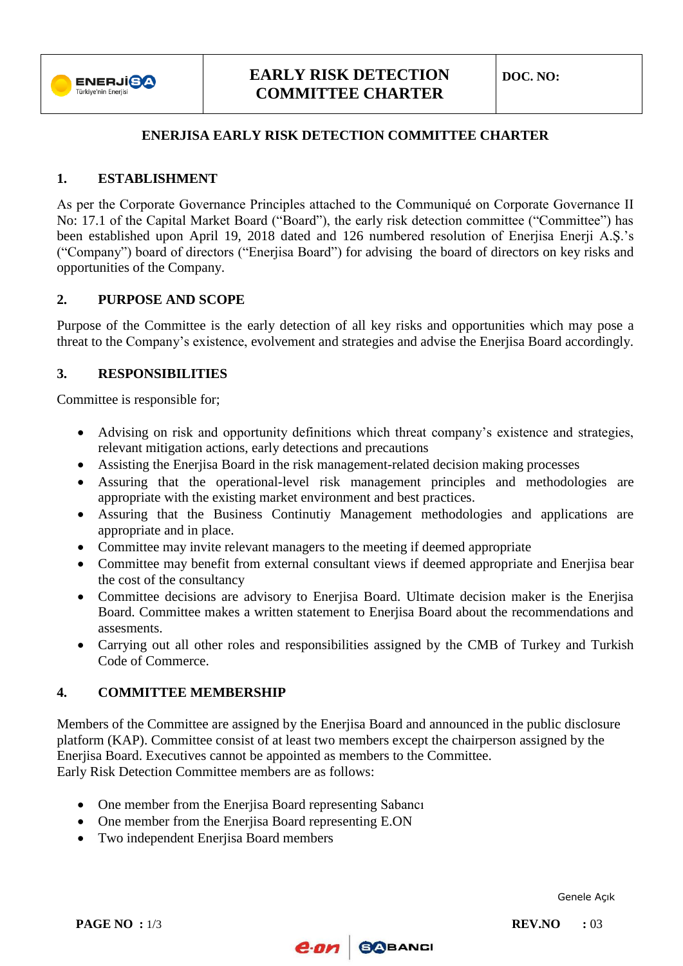

# **EARLY RISK DETECTION COMMITTEE CHARTER**

## **ENERJISA EARLY RISK DETECTION COMMITTEE CHARTER**

## **1. ESTABLISHMENT**

As per the Corporate Governance Principles attached to the Communiqué on Corporate Governance II No: 17.1 of the Capital Market Board ("Board"), the early risk detection committee ("Committee") has been established upon April 19, 2018 dated and 126 numbered resolution of Enerjisa Enerji A.S.'s ("Company") board of directors ("Enerjisa Board") for advising the board of directors on key risks and opportunities of the Company.

### **2. PURPOSE AND SCOPE**

Purpose of the Committee is the early detection of all key risks and opportunities which may pose a threat to the Company's existence, evolvement and strategies and advise the Enerjisa Board accordingly.

### **3. RESPONSIBILITIES**

Committee is responsible for;

- Advising on risk and opportunity definitions which threat company's existence and strategies, relevant mitigation actions, early detections and precautions
- Assisting the Enerjisa Board in the risk management-related decision making processes
- Assuring that the operational-level risk management principles and methodologies are appropriate with the existing market environment and best practices.
- Assuring that the Business Continutiy Management methodologies and applications are appropriate and in place.
- Committee may invite relevant managers to the meeting if deemed appropriate
- Committee may benefit from external consultant views if deemed appropriate and Enerjisa bear the cost of the consultancy
- Committee decisions are advisory to Enerjisa Board. Ultimate decision maker is the Enerjisa Board. Committee makes a written statement to Enerjisa Board about the recommendations and assesments.
- Carrying out all other roles and responsibilities assigned by the CMB of Turkey and Turkish Code of Commerce.

### **4. COMMITTEE MEMBERSHIP**

Members of the Committee are assigned by the Enerjisa Board and announced in the public disclosure platform (KAP). Committee consist of at least two members except the chairperson assigned by the Enerjisa Board. Executives cannot be appointed as members to the Committee. Early Risk Detection Committee members are as follows:

- One member from the Enerjisa Board representing Sabancı
- One member from the Enerjisa Board representing E.ON
- Two independent Eneriisa Board members

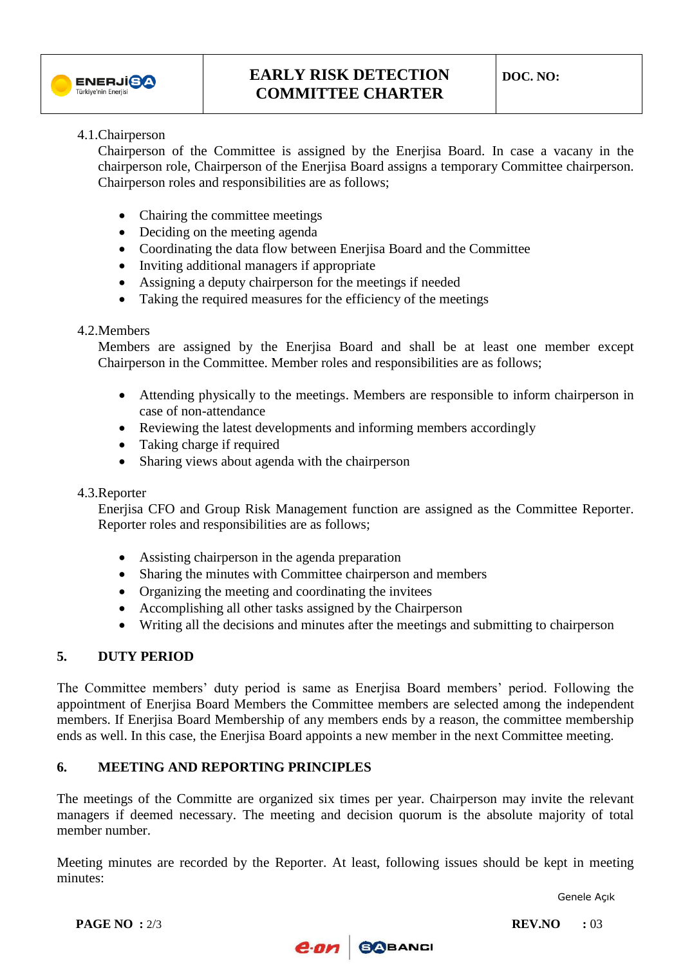

# **EARLY RISK DETECTION COMMITTEE CHARTER**

#### 4.1.Chairperson

Chairperson of the Committee is assigned by the Enerjisa Board. In case a vacany in the chairperson role, Chairperson of the Enerjisa Board assigns a temporary Committee chairperson. Chairperson roles and responsibilities are as follows;

- Chairing the committee meetings
- Deciding on the meeting agenda
- Coordinating the data flow between Enerjisa Board and the Committee
- Inviting additional managers if appropriate
- Assigning a deputy chairperson for the meetings if needed
- Taking the required measures for the efficiency of the meetings

### 4.2.Members

Members are assigned by the Enerjisa Board and shall be at least one member except Chairperson in the Committee. Member roles and responsibilities are as follows;

- Attending physically to the meetings. Members are responsible to inform chairperson in case of non-attendance
- Reviewing the latest developments and informing members accordingly
- Taking charge if required
- Sharing views about agenda with the chairperson

### 4.3.Reporter

Enerjisa CFO and Group Risk Management function are assigned as the Committee Reporter. Reporter roles and responsibilities are as follows;

- Assisting chairperson in the agenda preparation
- Sharing the minutes with Committee chairperson and members
- Organizing the meeting and coordinating the invitees
- Accomplishing all other tasks assigned by the Chairperson
- Writing all the decisions and minutes after the meetings and submitting to chairperson

### **5. DUTY PERIOD**

The Committee members' duty period is same as Enerjisa Board members' period. Following the appointment of Enerjisa Board Members the Committee members are selected among the independent members. If Enerjisa Board Membership of any members ends by a reason, the committee membership ends as well. In this case, the Enerjisa Board appoints a new member in the next Committee meeting.

### **6. MEETING AND REPORTING PRINCIPLES**

The meetings of the Committe are organized six times per year. Chairperson may invite the relevant managers if deemed necessary. The meeting and decision quorum is the absolute majority of total member number.

Meeting minutes are recorded by the Reporter. At least, following issues should be kept in meeting minutes: